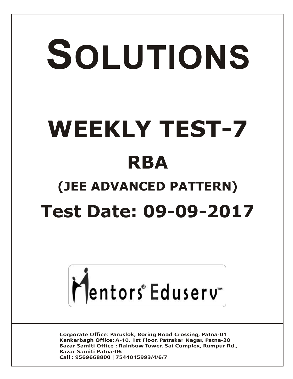# SOLUTIONS **WEEKLY TEST-7 RBA (JEE ADVANCED PATTERN) Test Date: 09-09-2017**



**Corporate Office: Paruslok, Boring Road Crossing, Patna-01** Kankarbagh Office: A-10, 1st Floor, Patrakar Nagar, Patna-20 Bazar Samiti Office: Rainbow Tower, Sai Complex, Rampur Rd., **Bazar Samiti Patna-06** Call: 9569668800 | 7544015993/4/6/7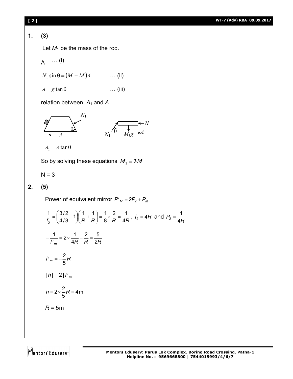# **[ 2 ] WT-7 (Adv) RBA\_09.09.2017**

**1. (3)**

Let  $M_1$  be the mass of the rod.

$$
A \quad \cdots (i)
$$

$$
N_1 \sin \theta = (M + M)A \qquad \qquad \dots \text{ (ii)}
$$

$$
A = g \tan \theta \qquad \qquad \dots \text{ (iii)}
$$

relation between *A*<sup>1</sup> and *A*

$$
\begin{array}{ccc}\n & N_1 \\
\hline\n\leftarrow A & & N_1\n\end{array}
$$

 $A_1 = A \tan \theta$ 

So by solving these equations  $M_1 = 3M$ 

 $N = 3$ 

# **2. (5)**

Power of equivalent mirror  $P'_{M} = 2P_2 + P_{M}$ 

$$
\frac{1}{f_2} = \left(\frac{3/2}{4/3} - 1\right) \left(\frac{1}{R} + \frac{1}{R}\right) = \frac{1}{8} \times \frac{2}{R} = \frac{1}{4R}, f_2 = 4R \text{ and } P_2 = \frac{1}{4R}
$$
\n
$$
-\frac{1}{f'_m} = 2 \times \frac{1}{4R} + \frac{2}{R} = \frac{5}{2R}
$$
\n
$$
f'_m = -\frac{2}{5}R
$$
\n
$$
|h| = 2|f'_m|
$$
\n
$$
h = 2 \times \frac{2}{5}R = 4m
$$
\n
$$
R = 5m
$$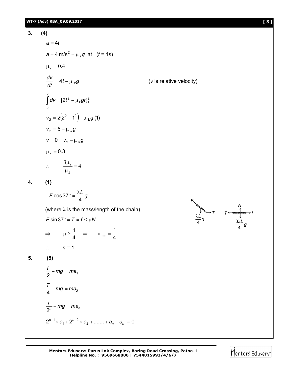3. (4)  
\n
$$
a = 4t
$$
  
\n $a = 4 \text{ m/s}^2 = \mu_s g$  at  $(t = 1s)$   
\n $\mu_s = 0.4$   
\n $\frac{dv}{dt} = 4t - \mu_k g$  (v is relative velocity)  
\n $\int_0^v dv = [2t^2 - \mu_k gt]_1^2$   
\n $v_2 = 2(2^2 - t^2) - \mu_k g$   
\n $v_2 = 6 - \mu_k g$   
\n $v = 0 = v_2 - \mu_k g$   
\n $\mu_k = 0.3$   
\n $\therefore \frac{3\mu_x}{\mu_k} = 4$   
\n4. (1)  
\n $F \cos 37^\circ = \frac{\lambda L}{4} g$   
\n(where  $\lambda$  is the mass/length of the chain).  
\n $F \sin 37^\circ = T = f \le \mu N$   
\n $\Rightarrow \mu \ge \frac{1}{4} \Rightarrow \mu_{min} = \frac{1}{4}$   
\n $\therefore n = 1$   
\n5. (5)  
\n $\frac{T}{2} - mg = ma_1$   
\n $\frac{T}{2} - mg = ma_2$   
\n $\frac{T}{2} - mg = ma_n$   
\n $2^{n-1} \times a_1 + 2^{n-2} \times a_2 + \dots + a_n + a_n = 0$ 



*T* → *T* ← <del>see pas</del> → *f* 

*g L* 4 3λ

*N*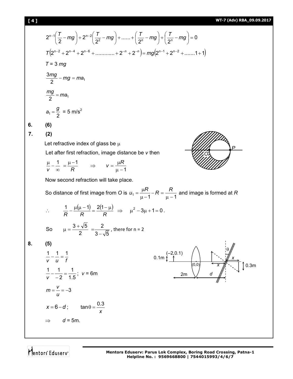# **[ 4 ] WT-7 (Adv) RBA\_09.09.2017**

$$
[4]
$$

**6. (6) 7. (2)**

**8. (5)**

$$
2^{n-1}\left(\frac{T}{2}-mg\right)+2^{n-2}\left(\frac{T}{2^2}-mg\right)+\dots+\left(\frac{T}{2^n}-mg\right)+\left(\frac{T}{2^n}-mg\right)=0
$$
  
\n
$$
T(2^{n-2}+2^{n-4}+2^{n-6}+\dots+\dots+2^{n}+2^{n})=mg(2^{n-1}+2^{n-2}+\dots+1)
$$
  
\n
$$
T = 3 mg
$$
  
\n
$$
\frac{3mg}{2}-mg=ma,
$$
  
\n
$$
\frac{mg}{2}=ma,
$$
  
\n
$$
a_1 = \frac{g}{2} = 5 \text{ m/s}^2
$$
  
\n6. (6)  
\n7. (2)  
\nLet refractive index of glass be  $\mu$   
\nLet after first refraction, image distance be  $v$  then  
\n
$$
\frac{\mu}{v} - \frac{1}{\infty} = \frac{\mu-1}{R} \implies v = \frac{\mu R}{\mu-1}
$$
  
\nNow second refraction will take place.  
\nSo distance of first image from O is  $u_1 = \frac{\mu R}{\mu-1} - R = \frac{R}{\mu-1}$  and image is formed at R  
\n
$$
\therefore \frac{1}{R} - \frac{\mu(\mu-1)}{R} = \frac{2(1-\mu)}{R} \implies \mu^2 - 3\mu + 1 = 0.
$$
  
\nSo  $\mu = \frac{3+\sqrt{5}}{2} = \frac{2}{3-\sqrt{5}}$ , there for  $n = 2$   
\n8. (5)  
\n
$$
\frac{1}{v} - \frac{1}{u} = \frac{1}{t}
$$
  
\n
$$
\frac{1}{v} - \frac{1}{u} = \frac{1}{t}
$$
  
\n
$$
\frac{1}{v} - \frac{1}{u} = \frac{1}{t}; v = 6m
$$
  
\n
$$
m = \frac{v}{u} = -3
$$
  
\n
$$
x = 6 - d; \quad \tan \theta = \frac{0.3}{x}
$$
  
\n
$$
\implies d = 5m.
$$

Mentors<sup>e</sup> Eduserv<sup>-</sup>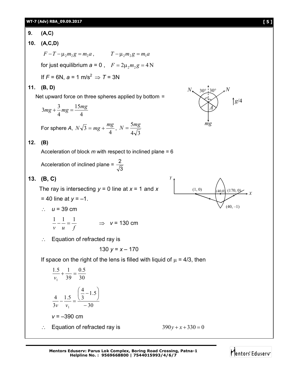9. (A,C)  
\n10. (A,C,D)  
\n
$$
F-T-\mu_2m_2g=m_2a
$$
,  $T-\mu_2m_2g=m_1a$   
\nfor just equilibrium  $a=0$ ,  $F=2\mu_2m_2g=4N$   
\nIf  $F=6N$ ,  $a=1$  m/s<sup>2</sup>  $\Rightarrow$   $T=3N$   
\n11. (B, D)  
\nNet upward force on three spheres applied by bottom =  
\n $3mg + \frac{3}{4}mg = \frac{15mg}{4}$   
\nFor sphere A,  $N\sqrt{3} = mg + \frac{mg}{4}$ ,  $N = \frac{5mg}{4\sqrt{3}}$   
\n12. (B)  
\nAcceleration of block *m* with respect to inclined plane = 6  
\nAcceleration of inclined plane =  $\frac{2}{\sqrt{3}}$   
\n13. (B, C)  
\nThe ray is intersecting  $y = 0$  line at  $x = 1$  and  $x$   
\n $= 40$  line at  $y = -1$ .  
\n $\therefore u = 39$  cm  
\n $\therefore$  Equation of refracted ray is  
\n130  $y = x - 170$   
\nIf space on the right of the lens is filled with liquid of  $\mu = 4/3$ , then  
\n $\frac{1.5}{v_1} + \frac{1}{39} = \frac{0.5}{30}$   
\n $\frac{4}{3v_1} - \frac{1.5}{v_1} = \frac{(\frac{4}{3} - 1.5)}{30}$   
\n $v = -390$  cm  
\n $\therefore$  Equation of refracted ray is  
\n130  $y = x + 170$   
\n15.  $\frac{4}{3v_1} - \frac{1.5}{v_1} = \frac{0.5}{-30}$   
\n $v = -390$  cm  
\n $\therefore$  Equation of refracted ray is  
\n16.  $\frac{390y + x + 330 = 0}{30y + x + 330} = 0$ 

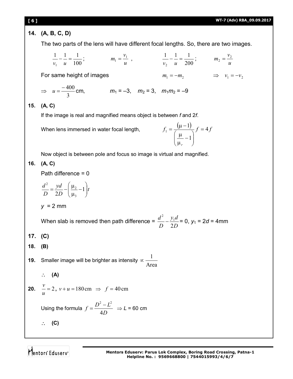**[ 6 ] WT-7 (Adv) RBA\_09.09.2017 14. (A, B, C, D)** The two parts of the lens will have different focal lengths. So, there are two images. 100 1 1 1 1  $-\frac{1}{x}$  =  $v_1$  *u* ; *u*  $m_1 = \frac{v_1}{u}$ ,  $\frac{1}{v_2} - \frac{1}{u} = \frac{1}{200}$ 1 1 1 2  $-\div$  =  $v_2$  *u* ; *u*  $m_2 = \frac{v_2}{v_1}$ For same height of images  $m_1 = -m_2$   $\implies v_1 = -v_2$  $\Rightarrow$ 3  $u = \frac{-400}{3}$  cm,  $m_1 = -3$ ,  $m_2 = 3$ ,  $m_1 m_2 = -9$ **15. (A, C)** If the image is real and magnified means object is between *f* and 2*f*. When lens immersed in water focal length,  $f_1 = \frac{(\mu - 1)}{\sqrt{3}} f = 4f$ *r* 1  $\sum_{1}^{1} = \frac{(\mu - 1)}{\sqrt{1 - (\mu - 1)}} f =$  $\overline{\phantom{a}}$  $\bigg)$  $\setminus$  $\overline{\phantom{a}}$  $\setminus$ ſ  $\overline{a}$  $\mu$  $\mu$  $=\frac{(\mu - \mu)^{2}}{2\mu}$ Now object is between pole and focus so image is virtual and magnified. **16. (A, C)** Path difference = 0 *t D yd D d*  $\Big\}$  $\bigg)$  $\mathcal{L}_{\mathcal{L}}$  $\overline{\phantom{a}}$  $\setminus$ ſ  $\overline{a}$  $\mu$  $=\frac{yd}{2b}-\left(\frac{\mu_2}{2}-1\right)$ 2D  $\mu$ <sub>3</sub> 2 2 *y* = 2 mm When slab is removed then path difference = *D*  $y_1d$ *D d* 2 1 2  $-\frac{y_1\alpha}{2D}$  = 0,  $y_1$  = 2*d* = 4mm **17. (C) 18. (B) 19.** Smaller image will be brighter as intensity Area  $\propto \frac{1}{\cdot}$  **(A) 20.**  $\mathcal{L} = 2$ *u*  $v = 2$ ,  $v + u = 180 \text{ cm} \implies f = 40 \text{ cm}$ Using the formula *D*  $f = \frac{D^2 - L^2}{4D}$ 4  $=\frac{D^2 - L^2}{L} \Rightarrow L = 60$  cm **(C)**

Mentors Eduserv<sup>®</sup>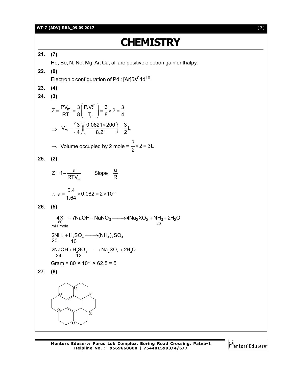## **WT-7 (ADV) RBA\_09.09.2017** [ **7** ]

# **CHEMISTRY**

**21. (7)** He, Be, N, Ne, Mg, Ar, Ca, all are positive electron gain enthalpy. **22. (0)** Electronic configuration of Pd : [Ar]5s<sup>0</sup>4d<sup>10</sup> **23. (4) 24. (3)**  $\frac{m}{m} = \frac{3}{2} \left( \frac{P_r V_r^m}{r} \right)$ r  $Z = \frac{PV_m}{RT} = \frac{3}{2} \left( \frac{P_r V_r^m}{T} \right) = \frac{3}{2} \times 2 = \frac{3}{4}$ RT 8  $\vert$  T<sub>r</sub>  $\vert$  8  $^{-}$  4  $(P.V_r^m)$  $=\frac{1}{2} - \frac{m}{n} = \frac{5}{6}$   $\frac{1}{2} - \frac{1}{2} = \frac{5}{6} \times 2 = \frac{5}{6}$  $($   $\mathsf{I}_r$   $)$  $\Rightarrow V_m = \left(\frac{3}{4}\right) \left(\frac{0.0821 \times 200}{8.21}\right) = \frac{3}{2}L$ 4  $/$  8.21  $/$  2  $=\left(\frac{3}{4}\right)\left(\frac{0.0821\times200}{8.21}\right)=\frac{3}{2}$  $\Rightarrow$  Volume occupied by 2 mole =  $\frac{3}{2} \times 2 = 3L$ 2  $\times$  2 = 3 **25. (2)** m  $Z = 1 - \frac{a}{2 \pi \lambda}$  Slope =  $\frac{a}{2}$  $RTV_m$  RTV  $=1-\frac{a}{\sqrt{a^2+c^2}}$  Slope =  $\frac{a}{a}$  $a = \frac{0.4}{1.01} \times 0.082 = 2 \times 10^{-2}$ 1.64  $\therefore a = \frac{0.4}{1.04} \times 0.082 = 2 \times 10^{-7}$ **26. (5)**  $4X$  +  $7$ NaOH +  $NaNO_3$   $\longrightarrow$   $4Na_2XO_2$  +  $NH_3$  +  $2H_2O$ <br>milli mole 20  $2NH_3 + H_2SO_4 \longrightarrow (NH_4)_2SO_4$  $20 \t 10$  $+ H_2SO_4 \longrightarrow$  $2$ NaOH + H<sub>2</sub>SO<sub>4</sub> ——→ Na<sub>2</sub>SO<sub>4</sub> + 2H<sub>2</sub>O 24 12  $+ H_2SO_4 \longrightarrow Na_2SO_4 + 2$ Gram =  $80 \times 10^{-3} \times 62.5 = 5$ **27. (6)**  $\alpha$  $\alpha$  $\alpha$  $\alpha$  $\hat{\alpha}$  $\alpha$ 

Mentors Eduserv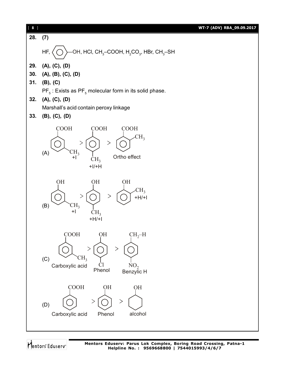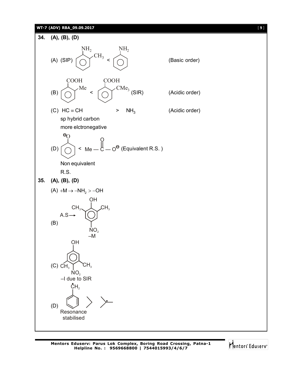# **WT-7 (ADV) RBA\_09.09.2017** [ **9** ]



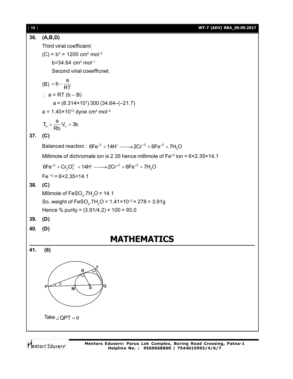| $[ 10 ]$ | WT-7 (ADV) RBA_09.09.2017                                                                     |
|----------|-----------------------------------------------------------------------------------------------|
| 36.      | (A,B,D)                                                                                       |
|          | Third virial coefficient                                                                      |
|          | $(C) = b2 = 1200 cm6$ mol <sup>-2</sup>                                                       |
|          | $b=34.64$ cm <sup>3</sup> mol <sup>-1</sup>                                                   |
|          | Second virial coeefficnet.                                                                    |
|          | (B) = $b - \frac{a}{RT}$                                                                      |
|          | $\therefore$ a = RT (b – B)                                                                   |
|          | $a = (8.314 \times 10^7) 300 (34.64 - (-21.7))$                                               |
|          | $a = 1.40 \times 10^{12}$ dyne cm <sup>4</sup> mol <sup>-2</sup>                              |
|          | $T_b = \frac{a}{Rb} V_c = 3b$                                                                 |
| 37.      | (C)                                                                                           |
|          | Balanced reaction : $6Fe^{+2} + 14H^{+}$ $\longrightarrow$ $2Cr^{+3} + 6Fe^{+3} + 7H_{2}O$    |
|          | Millimole of dichromate ion is 2.35 hence millimole of $Fe^{+2}$ ion = $6 \times 2.35 = 14.1$ |
|          | $6Fe^{+2} + Cr_2O_7^{2-} + 14H^+ \longrightarrow 2Cr^{+2} + 6Fe^{+3} + 7H_2O$                 |
|          | Fe $^{+2}$ = 6×2.35=14.1                                                                      |
| 38.      | (C)                                                                                           |
|          | Milimole of $FeSO4$ .7H <sub>2</sub> O = 14.1                                                 |
|          | So, weight of FeSO <sub>4</sub> .7H <sub>2</sub> O = 1.41×10 <sup>-2</sup> × 278 = 3.91g      |
|          | Hence % purity = $(3.91/4.2) \times 100 = 93.0$                                               |
| 39.      | (D)                                                                                           |
| 40.      | (D)                                                                                           |
|          | <b>MATHEMATICS</b>                                                                            |
| 41.      | (6)                                                                                           |
|          | $\mathsf{R}$<br>Q<br>P<br>s<br>М                                                              |
|          | Take $\angle$ QPT = $\theta$                                                                  |

Mentors<sup>®</sup> Eduserv<sup>®</sup>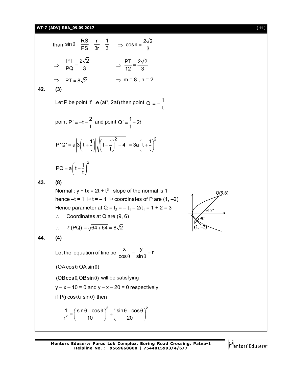# **WT-7 (ADV) RBA\_09.09.2017** [ **11** ]

than  $\sin \theta = \frac{RS}{PS} = \frac{r}{3r} = \frac{1}{3}$   $\Rightarrow \cos \theta = \frac{2\sqrt{2}}{3}$ 3  $\Rightarrow \frac{PT}{PQ} = \frac{2\sqrt{2}}{2}$  $\frac{PT}{PQ} = \frac{2\sqrt{2}}{3}$   $\Rightarrow \frac{PT}{12} = \frac{2\sqrt{2}}{3}$ 12 3  $\Rightarrow$  PT =  $8\sqrt{2}$   $\Rightarrow$  m = 8, n = 2 **42. (3)** Let P be point 't' i.e (at<sup>2</sup>, 2at) then point  $Q = -\frac{1}{4}$ t  $\equiv$ point P'  $\equiv -t - \frac{2}{t}$ t  $= -t - \frac{2}{t}$  and point Q'  $= \frac{1}{t} + 2t$ t  $\equiv - + 2$  $P'Q' = a\left|3\left(t + \frac{1}{t}\right)\right|_1 \left| \left(t - \frac{1}{t}\right)^2 + 4\right|$ t t  $= a \left| 3\left(t+\frac{1}{t}\right) \right| \sqrt{\left(t-\frac{1}{t}\right)^2 + 4}$  $3a\left(t+\frac{1}{t}\right)^2$ t  $=3a\left(t+\frac{1}{t}\right)^{2}$  $PQ = a \left( t + \frac{1}{t} \right)^2$ t  $= a\left(t+\frac{1}{t}\right)^2$ **43. (8)** Normal :  $y + tx = 2t + t^3$ ; slope of the normal is 1 hence  $-t = 1$   $\triangleright t = -1$   $\triangleright$  coordinates of P are (1, -2) Hence parameter at Q =  $t_2 = -t_1 - 2/t_1 = 1 + 2 = 3$  $\therefore$  Coordinates at Q are (9, 6) :  $\ell$  (PQ) =  $\sqrt{64 + 64} = 8\sqrt{2}$ **44. (4)** Let the equation of line be  $\frac{x}{f} = \frac{y}{f} = r$  $cos \theta$  sin  $=\frac{J}{\cdot}$  = r  $\theta$  sin $\theta$  $(OA \cos \theta, OA \sin \theta)$  $(OB \cos \theta, OB \sin \theta)$  will be satisfying  $y - x - 10 = 0$  and  $y - x - 20 = 0$  respectively if  $P(r \cos \theta, r \sin \theta)$  then 2  $( sin \theta - sin \theta)^2$ 2  $1 \left( \sin \theta - \cos \theta \right)^2 \left( \sin \theta - \cos \theta \right)$ r<sup>2</sup> ( 10 *)* ( 20  $=\left(\frac{\sin\theta-\cos\theta}{10}\right)^2+\left(\frac{\sin\theta-\cos\theta}{20}\right)^2$ 

$$
\begin{array}{c}\n 0(9,6) \\
 45^\circ \\
 \hline\n P\n (1,-2)\n \end{array}
$$

Mentors<sup>®</sup> Eduserv<sup>®</sup>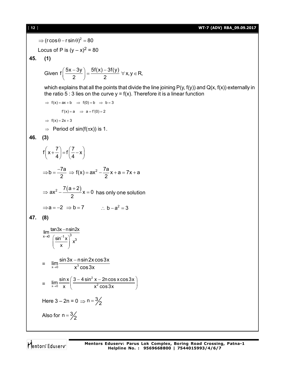[ **12** ] **WT-7 (ADV) RBA\_09.09.2017**  $\Rightarrow$  (r cos  $\theta$  – r sin  $\theta$ )<sup>2</sup> = 80 Locus of P is  $(y - x)^2 = 80$ **45. (1)** Given  $f\left(\frac{5x-3y}{2}\right) = \frac{5f(x)-3f(y)}{2}$   $\forall$  x, y  $\in$  R, 2 2 which explains that all the points that divide the line joining  $P(y, f(y))$  and  $Q(x, f(x))$  externally in the ratio 5 : 3 lies on the curve  $y = f(x)$ . Therefore it is a linear function  $\Rightarrow$  f(x) = ax + b  $\Rightarrow$  f(0) = b  $\Rightarrow$  b = 3  $f'(x) = a \implies a = f'(0) = 2$  $\Rightarrow$  f(x) = 2x + 3  $\Rightarrow$  Period of sin(f( $\pi$ x)) is 1. **46. (3)**  $f(x+\frac{7}{4})=f(\frac{7}{4}-x)$ 4 (4  $\left(x+\frac{7}{4}\right)=f\left(\frac{7}{4}-x\right)$ b =  $\frac{-7a}{2}$   $\Rightarrow$  f(x) =  $ax^2 - \frac{7a}{2}x + a = 7x + a$ 2  $2$  $\Rightarrow$  b =  $\frac{-7a}{2}$   $\Rightarrow$  f(x) =  $ax^2 - \frac{7a}{2}x + a = 7x + a$  $ax^2 - \frac{7(a+2)}{2}x = 0$ 2  $\Rightarrow$  ax<sup>2</sup> –  $\frac{7(a+2)}{2}$ x = 0 has only one solution  $\Rightarrow$ **a** = -2  $\Rightarrow$ **b** = 7  $\therefore$  **b** - **a**<sup>2</sup> = 3 **47. (8)**

$$
\lim_{x\to0} \frac{\tan 3x - n \sin 2x}{\left(\frac{\sin^{-1} x}{x}\right)^3 x^3}
$$
\n
$$
= \lim_{x\to0} \frac{\sin 3x - n \sin 2x \cos 3x}{x^3 \cos 3x}
$$
\n
$$
= \lim_{x\to0} \frac{\sin x}{x} \left(\frac{3 - 4 \sin^2 x - 2n \cos x \cos 3x}{x^2 \cos 3x}\right)
$$
\nHere  $3 - 2n = 0 \Rightarrow n = \frac{3}{2}$   
\nAlso for  $n = \frac{3}{2}$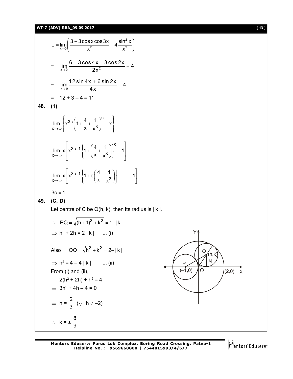# **WT-7 (ADV) RBA\_09.09.2017** [ **13** ]

L = 
$$
\lim_{x\to 0} \left( \frac{3-3\cos x \cos 3x}{x^2} - 4 \frac{\sin^2 x}{x^2} \right)
$$
  
\n=  $\lim_{x\to 0} \frac{6-3\cos 4x - 3\cos 2x}{2x^2} - 4$   
\n=  $\lim_{x\to 0} \frac{12 \sin 4x + 6 \sin 2x}{4x} - 4$   
\n= 12 + 3 - 4 = 11  
\n48. (1)  
\n $\lim_{x\to \infty} \left[ x^{30c} \left( 1 + \frac{4}{x} + \frac{1}{x^3} \right)^6 - x \right]$   
\n $\lim_{x\to \infty} \left[ x^{30c-1} \left\{ 1 + \left( \frac{4}{x} + \frac{1}{x^3} \right) \right\}^6 - 1 \right]$   
\n $\lim_{x\to \infty} x \left[ x^{30c-1} \left\{ 1 + c \left( \frac{4}{x} + \frac{1}{x^3} \right) \right\} + \dots - 1 \right]$   
\n30 = -1  
\n49. (c, D)  
\nLet centre of C be Q(h, k), then its radius is | k|.  
\n $\therefore PQ = \sqrt{(h+1)^2 + k^2} = 1 + |k|$   
\n $\Rightarrow h^2 + 2h = 2 |k|$  ...(i)  
\nAlso  $QQ = \sqrt{h^2 + k^2} = 2 - |k|$   
\n $\Rightarrow h^2 = 4 - 4 |k|$  ...(ii)  
\nFrom (i) and (ii),  
\n $2(h^2 + 2h) + h^2 = 4$   
\n $\Rightarrow 3h^2 + 4h - 4 = 0$   
\n $\Rightarrow h = \frac{2}{3} (\because h \neq -2)$   
\n $\therefore k = \pm \frac{8}{9}$ 

Mentors<sup>e</sup> Eduserv<sup>-</sup>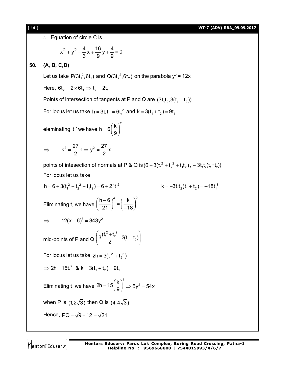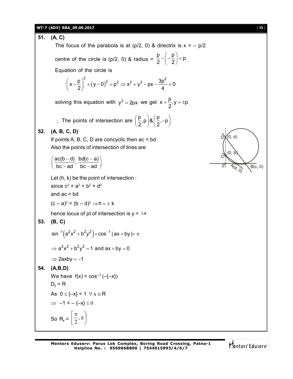# **WT-7 (ADV) RBA\_09.09.2017** [ **15** ]

**51. (A, C)** The focus of the parabola is at  $(p/2, 0)$  & directrix is  $x = -p/2$ centre of the circle is (p/2, 0) & radius =  $\frac{p}{p} - \left(-\frac{p}{q}\right) = p$ 2  $(2)$  $-\left(-\frac{p}{2}\right)=p$ Equation of the circle is  $(y-0)^2$  $(x - \frac{p}{2})^2 + (y - 0)^2 = p^2 \Rightarrow x^2 + y^2 - px - \frac{3p^2}{2} = 0$  $2)$  (1, 2, 4) and  $4$  $\left(x-\frac{p}{2}\right)^2 + (y-0)^2 = p^2 \Rightarrow x^2 + y^2 - px - \frac{3p^2}{4} = 0$ solving this equation with  $y^2 = 2px$  we get  $x = \frac{p}{q}$ ,  $y = \pm p$ 2  $=\frac{P}{Q}$ , y =  $\pm p$  $\therefore$  The points of intersection are  $\left(\frac{p}{2}, p\right)$  &  $\left(\frac{p}{2}, -p\right)$  $\left(\frac{p}{2},p\right)$ & $\left(\frac{p}{2},-p\right)$ **52. (A, B, C, D)** If points  $A$ ,  $B$ ,  $C$ ,  $D$  are concyclic then  $ac = bd$ Also the points of intersection of lines are  $\frac{ac(b-d)}{1}, \frac{bd(c-a)}{1}$  $\left(\frac{ac(b-d)}{bc-ad}, \frac{bd(c-a)}{bc-ad}\right)$  $(0, d)$ (0, b)  $\overline{B(c, 0)}$ D)  $\sigma$ C Let (h, k) be the point of intersection : since  $c^2 + a^2 = b^2 + d^2$ and  $ac = bd$  $(c-a)^2 = (b-d)^2 \Rightarrow h = \pm k$ hence locus of pt of intersection is  $y = \pm x$ **53. (B, C)**  $\sin^{-1}(a^2x^2 + b^2y^2) + \cos^{-1}|ax + by| = \pi$  $\Rightarrow$   $a^2x^2 + b^2y^2 = 1$  and  $ax + by = 0$  $\Rightarrow$  2axby = -1 **54. (A,B,D)** We have  $f(x) = cos^{-1}(-(-x))$  $D_f = R$ As  $0 \leq \{-x\} < 1 \quad \forall x \in \mathsf{R}$  $\Rightarrow$  -1 < -{-x}  $\leq$  0 So R<sub>f</sub> =  $\left(\frac{\pi}{2}, \pi\right)$ J  $\setminus$  $\overline{\mathsf{L}}$  $\left| \frac{\pi}{2}, \pi \right|$ 2

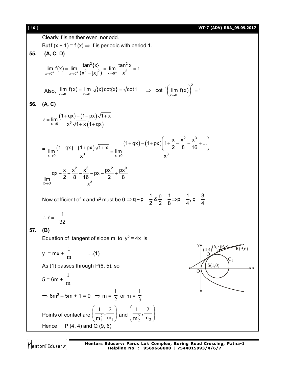